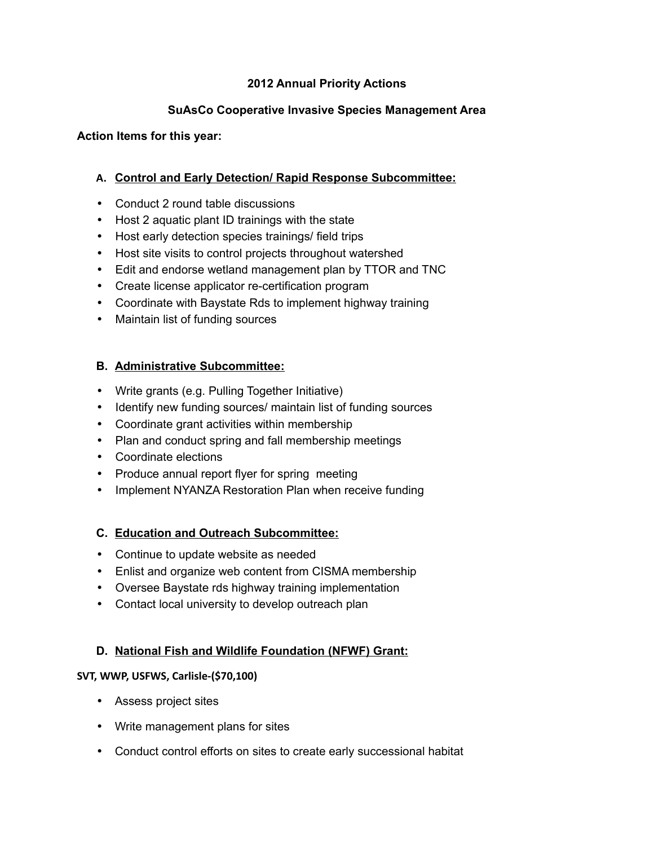## **2012 Annual Priority Actions**

# **SuAsCo Cooperative Invasive Species Management Area**

#### **Action Items for this year:**

## **A. Control and Early Detection/ Rapid Response Subcommittee:**

- Conduct 2 round table discussions
- Host 2 aquatic plant ID trainings with the state
- Host early detection species trainings/ field trips
- Host site visits to control projects throughout watershed
- Edit and endorse wetland management plan by TTOR and TNC
- Create license applicator re-certification program
- Coordinate with Baystate Rds to implement highway training
- Maintain list of funding sources

## **B. Administrative Subcommittee:**

- Write grants (e.g. Pulling Together Initiative)
- Identify new funding sources/ maintain list of funding sources
- Coordinate grant activities within membership
- Plan and conduct spring and fall membership meetings
- Coordinate elections
- Produce annual report flyer for spring meeting
- Implement NYANZA Restoration Plan when receive funding

## **C. Education and Outreach Subcommittee:**

- Continue to update website as needed
- Enlist and organize web content from CISMA membership
- Oversee Baystate rds highway training implementation
- Contact local university to develop outreach plan

## **D. National Fish and Wildlife Foundation (NFWF) Grant:**

## **SVT, WWP, USFWS, Carlisle-(\$70,100)**

- Assess project sites
- Write management plans for sites
- Conduct control efforts on sites to create early successional habitat